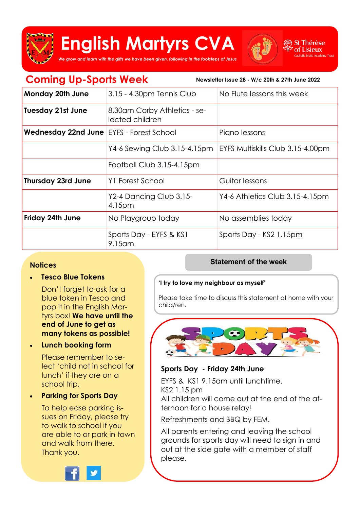

# **English Martyrs CVA**



it Thérèse Lisieux

*We grow and learn with the gifts we have been given, following in the footsteps of Jesus*

| <b>Coming Up-Sports Week</b><br>Newsletter Issue 28 - W/c 20th & 27th June 2022 |                                                 |                                   |
|---------------------------------------------------------------------------------|-------------------------------------------------|-----------------------------------|
| Monday 20th June                                                                | 3.15 - 4.30pm Tennis Club                       | No Flute lessons this week        |
| <b>Tuesday 21st June</b>                                                        | 8.30am Corby Athletics - se-<br>lected children |                                   |
| Wednesday 22nd June <b>EYFS</b> - Forest School                                 |                                                 | Piano lessons                     |
|                                                                                 | Y4-6 Sewing Club 3.15-4.15pm                    | EYFS Multiskills Club 3.15-4.00pm |
|                                                                                 | Football Club 3.15-4.15pm                       |                                   |
| <b>Thursday 23rd June</b>                                                       | Y1 Forest School                                | Guitar lessons                    |
|                                                                                 | Y2-4 Dancing Club 3.15-<br>4.15 <sub>pm</sub>   | Y4-6 Athletics Club 3.15-4.15pm   |
| Friday 24th June                                                                | No Playgroup today                              | No assemblies today               |
|                                                                                 | Sports Day - EYFS & KS1<br>$9.15$ am            | Sports Day - KS2 1.15pm           |

#### **Notices**

• **Tesco Blue Tokens** 

Don't forget to ask for a blue token in Tesco and pop it in the English Martyrs box! **We have until the end of June to get as many tokens as possible!**

• **Lunch booking form**

Please remember to select 'child not in school for lunch' if they are on a school trip.

• **Parking for Sports Day**

To help ease parking issues on Friday, please try to walk to school if you are able to or park in town and walk from there. Thank you.



#### **Statement of the week**

#### **'I try to love my neighbour as myself'**

Please take time to discuss this statement at home with your child/ren.



#### **Sports Day - Friday 24th June**

EYFS & KS1 9.15am until lunchtime. KS2 1.15 pm All children will come out at the end of the afternoon for a house relay!

Refreshments and BBQ by FEM.

All parents entering and leaving the school grounds for sports day will need to sign in and out at the side gate with a member of staff please.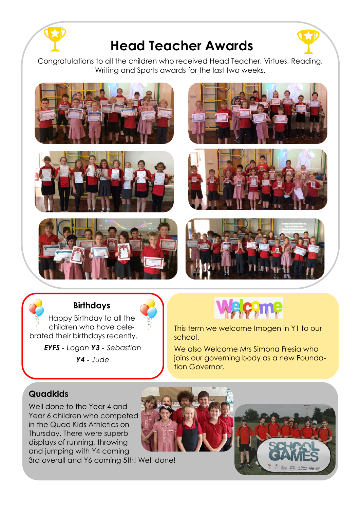

# **Head Teacher Awards**

Congratulations to all the children who received Head Teacher, Virtues, Reading, Writing and Sports awards for the last two weeks.













## **Birthdays**

Happy Birthday to all the children who have celebrated their birthdays recently.

> *EYFS - Logan Y3 - Sebastian Y4 - Jude*



This term we welcome Imogen in Y1 to our school.

We also Welcome Mrs Simona Fresia who joins our governing body as a new Foundation Governor.

## **Quadkids**

Well done to the Year 4 and Year 6 children who competed in the Quad Kids Athletics on Thursday. There were superb displays of running, throwing and jumping with Y4 coming



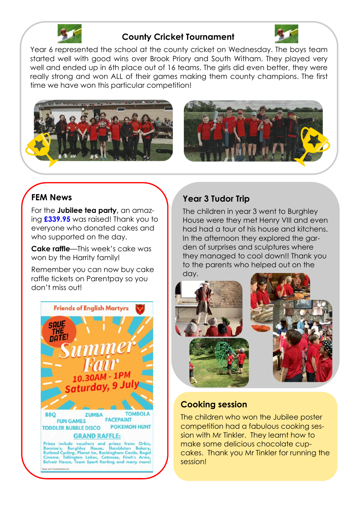

#### **County Cricket Tournament**



Year 6 represented the school at the county cricket on Wednesday. The boys team started well with good wins over Brook Priory and South Witham. They played very well and ended up in 6th place out of 16 teams. The girls did even better, they were really strong and won ALL of their games making them county champions. The first time we have won this particular competition!





# **FEM News**

For the **Jubilee tea party,** an amazing **£339.95** was raised! Thank you to everyone who donated cakes and who supported on the day.

**Cake raffle**—This week's cake was won by the Harrity family!

Remember you can now buy cake raffle tickets on Parentpay so you don't miss out!



# **Year 3 Tudor Trip**

The children in year 3 went to Burghley House were they met Henry VIII and even had had a tour of his house and kitchens. In the afternoon they explored the garden of surprises and sculptures where they managed to cool down!! Thank you to the parents who helped out on the day.



#### **Cooking session**

The children who won the Jubilee poster competition had a fabulous cooking session with Mr Tinkler. They learnt how to make some delicious chocolate cupcakes. Thank you Mr Tinkler for running the session!